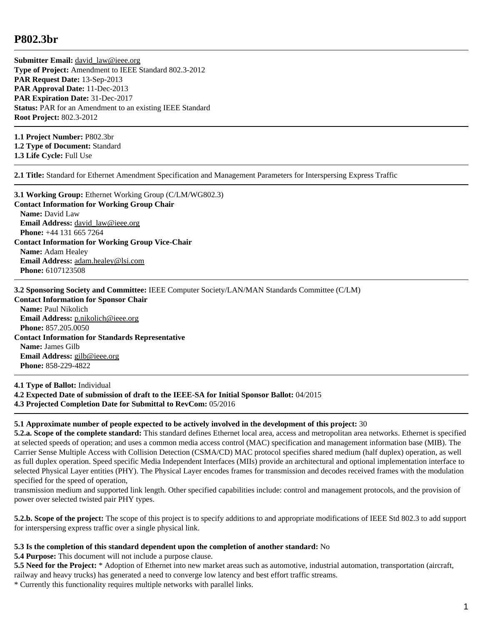## **P802.3br**

**Submitter Email:** david law@ieee.org **Type of Project:** Amendment to IEEE Standard 802.3-2012 **PAR Request Date:** 13-Sep-2013 **PAR Approval Date:** 11-Dec-2013 **PAR Expiration Date:** 31-Dec-2017 **Status:** PAR for an Amendment to an existing IEEE Standard **Root Project:** 802.3-2012

**1.1 Project Number:** P802.3br **1.2 Type of Document:** Standard **1.3 Life Cycle:** Full Use

**2.1 Title:** Standard for Ethernet Amendment Specification and Management Parameters for Interspersing Express Traffic

**3.1 Working Group:** Ethernet Working Group (C/LM/WG802.3) **Contact Information for Working Group Chair Name:** David Law **Email Address:** [david\\_law@ieee.org](mailto:david_law%40ieee.org) **Phone:** +44 131 665 7264 **Contact Information for Working Group Vice-Chair Name:** Adam Healey **Email Address:** [adam.healey@lsi.com](mailto:adam.healey%40lsi.com) **Phone:** 6107123508

**3.2 Sponsoring Society and Committee:** IEEE Computer Society/LAN/MAN Standards Committee (C/LM)

**Contact Information for Sponsor Chair Name:** Paul Nikolich **Email Address:** [p.nikolich@ieee.org](mailto:p.nikolich%40ieee.org) **Phone:** 857.205.0050 **Contact Information for Standards Representative Name:** James Gilb **Email Address:** [gilb@ieee.org](mailto:gilb%40ieee.org) **Phone:** 858-229-4822

**4.1 Type of Ballot:** Individual **4.2 Expected Date of submission of draft to the IEEE-SA for Initial Sponsor Ballot:** 04/2015 **4.3 Projected Completion Date for Submittal to RevCom:** 05/2016

## **5.1 Approximate number of people expected to be actively involved in the development of this project:** 30

**5.2.a. Scope of the complete standard:** This standard defines Ethernet local area, access and metropolitan area networks. Ethernet is specified at selected speeds of operation; and uses a common media access control (MAC) specification and management information base (MIB). The Carrier Sense Multiple Access with Collision Detection (CSMA/CD) MAC protocol specifies shared medium (half duplex) operation, as well as full duplex operation. Speed specific Media Independent Interfaces (MIIs) provide an architectural and optional implementation interface to selected Physical Layer entities (PHY). The Physical Layer encodes frames for transmission and decodes received frames with the modulation specified for the speed of operation,

transmission medium and supported link length. Other specified capabilities include: control and management protocols, and the provision of power over selected twisted pair PHY types.

**5.2.b. Scope of the project:** The scope of this project is to specify additions to and appropriate modifications of IEEE Std 802.3 to add support for interspersing express traffic over a single physical link.

## **5.3 Is the completion of this standard dependent upon the completion of another standard:** No

**5.4 Purpose:** This document will not include a purpose clause.

**5.5 Need for the Project:** \* Adoption of Ethernet into new market areas such as automotive, industrial automation, transportation (aircraft, railway and heavy trucks) has generated a need to converge low latency and best effort traffic streams.

\* Currently this functionality requires multiple networks with parallel links.